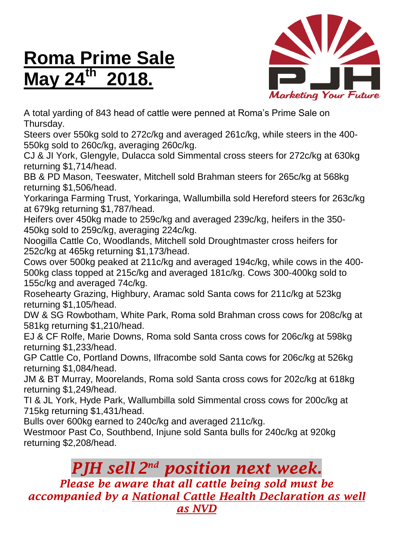## **Roma Prime Sale May 24th 2018.**



A total yarding of 843 head of cattle were penned at Roma's Prime Sale on Thursday.

Steers over 550kg sold to 272c/kg and averaged 261c/kg, while steers in the 400- 550kg sold to 260c/kg, averaging 260c/kg.

CJ & JI York, Glengyle, Dulacca sold Simmental cross steers for 272c/kg at 630kg returning \$1,714/head.

BB & PD Mason, Teeswater, Mitchell sold Brahman steers for 265c/kg at 568kg returning \$1,506/head.

Yorkaringa Farming Trust, Yorkaringa, Wallumbilla sold Hereford steers for 263c/kg at 679kg returning \$1,787/head.

Heifers over 450kg made to 259c/kg and averaged 239c/kg, heifers in the 350- 450kg sold to 259c/kg, averaging 224c/kg.

Noogilla Cattle Co, Woodlands, Mitchell sold Droughtmaster cross heifers for 252c/kg at 465kg returning \$1,173/head.

Cows over 500kg peaked at 211c/kg and averaged 194c/kg, while cows in the 400- 500kg class topped at 215c/kg and averaged 181c/kg. Cows 300-400kg sold to 155c/kg and averaged 74c/kg.

Rosehearty Grazing, Highbury, Aramac sold Santa cows for 211c/kg at 523kg returning \$1,105/head.

DW & SG Rowbotham, White Park, Roma sold Brahman cross cows for 208c/kg at 581kg returning \$1,210/head.

EJ & CF Rolfe, Marie Downs, Roma sold Santa cross cows for 206c/kg at 598kg returning \$1,233/head.

GP Cattle Co, Portland Downs, Ilfracombe sold Santa cows for 206c/kg at 526kg returning \$1,084/head.

JM & BT Murray, Moorelands, Roma sold Santa cross cows for 202c/kg at 618kg returning \$1,249/head.

TI & JL York, Hyde Park, Wallumbilla sold Simmental cross cows for 200c/kg at 715kg returning \$1,431/head.

Bulls over 600kg earned to 240c/kg and averaged 211c/kg.

Westmoor Past Co, Southbend, Injune sold Santa bulls for 240c/kg at 920kg returning \$2,208/head.

## *PJH sell 2 nd position next week.*

*Please be aware that all cattle being sold must be accompanied by a National Cattle Health Declaration as well as NVD*